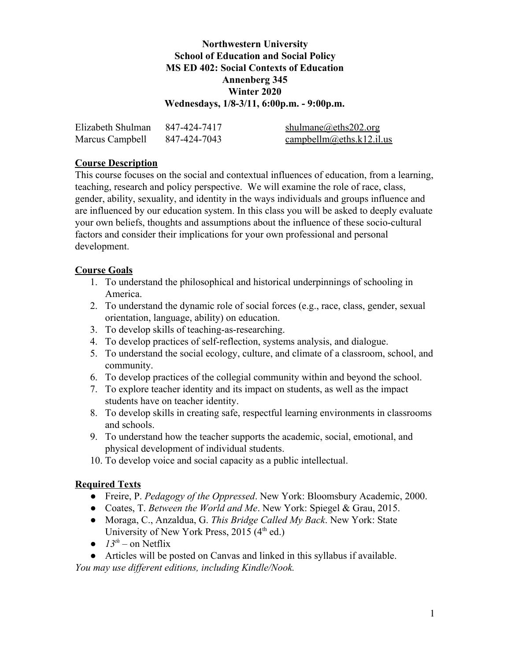## **Northwestern University School of Education and Social Policy MS ED 402: Social Contexts of Education Annenberg 345 Winter 2020 Wednesdays, 1/8-3/11, 6:00p.m. - 9:00p.m.**

| Elizabeth Shulman | 847-424-7417 | shulmane@eths202.org                                                      |
|-------------------|--------------|---------------------------------------------------------------------------|
| Marcus Campbell   | 847-424-7043 | $\frac{\text{campbellm@eths.k12.il.us}}{\text{campbellm@eths.k12.il.us}}$ |

## **Course Description**

This course focuses on the social and contextual influences of education, from a learning, teaching, research and policy perspective. We will examine the role of race, class, gender, ability, sexuality, and identity in the ways individuals and groups influence and are influenced by our education system. In this class you will be asked to deeply evaluate your own beliefs, thoughts and assumptions about the influence of these socio-cultural factors and consider their implications for your own professional and personal development.

## **Course Goals**

- 1. To understand the philosophical and historical underpinnings of schooling in America.
- 2. To understand the dynamic role of social forces (e.g., race, class, gender, sexual orientation, language, ability) on education.
- 3. To develop skills of teaching-as-researching.
- 4. To develop practices of self-reflection, systems analysis, and dialogue.
- 5. To understand the social ecology, culture, and climate of a classroom, school, and community.
- 6. To develop practices of the collegial community within and beyond the school.
- 7. To explore teacher identity and its impact on students, as well as the impact students have on teacher identity.
- 8. To develop skills in creating safe, respectful learning environments in classrooms and schools.
- 9. To understand how the teacher supports the academic, social, emotional, and physical development of individual students.
- 10. To develop voice and social capacity as a public intellectual.

# **Required Texts**

- Freire, P. *Pedagogy of the Oppressed*. New York: Bloomsbury Academic, 2000.
- Coates, T. *Between the World and Me*. New York: Spiegel & Grau, 2015.
- Moraga, C., Anzaldua, G. *This Bridge Called My Back*. New York: State University of New York Press, 2015 (4<sup>th</sup> ed.)
- $\bullet$  13<sup>th</sup> on Netflix

● Articles will be posted on Canvas and linked in this syllabus if available. *You may use different editions, including Kindle/Nook.*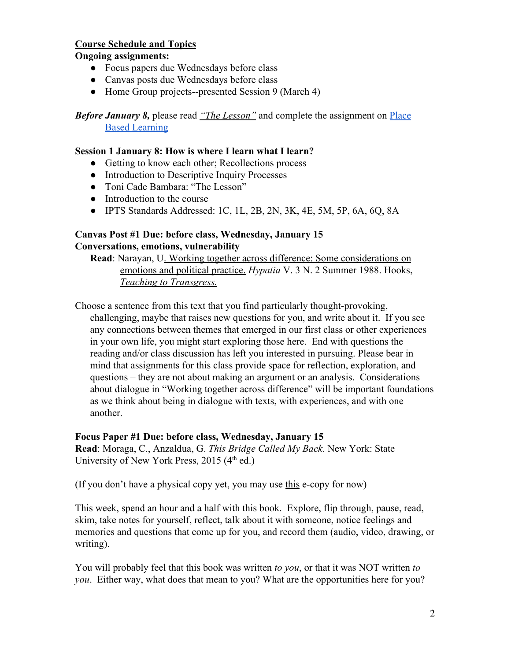## **Course Schedule and Topics**

### **Ongoing assignments:**

- Focus papers due Wednesdays before class
- Canvas posts due Wednesdays before class
- Home Group projects--presented Session 9 (March 4)

*Before January 8,* please read *["The Lesson"](https://docs.google.com/document/d/1RsWjQ1Jh-pNIN8x2TaSFzwHuURHimVi9IVDQA-Z-h2g/edit?usp=sharing)* and complete the assignment on [Place](https://docs.google.com/document/d/1xj4_8Dgmf5KyLZ-bE5UAxfcH7GfwE7xEKq7ML9LueJo/edit?usp=sharing) [Based Learning](https://docs.google.com/document/d/1xj4_8Dgmf5KyLZ-bE5UAxfcH7GfwE7xEKq7ML9LueJo/edit?usp=sharing)

### **Session 1 January 8: How is where I learn what I learn?**

- Getting to know each other; Recollections process
- Introduction to Descriptive Inquiry Processes
- Toni Cade Bambara: "The Lesson"
- Introduction to the course
- IPTS Standards Addressed: 1C, 1L, 2B, 2N, 3K, 4E, 5M, 5P, 6A, 6Q, 8A

## **Canvas Post #1 Due: before class, Wednesday, January 15 Conversations, emotions, vulnerability**

**Read**: Narayan, [U. Working together across difference: Some considerations on](https://docs.google.com/document/d/1CSB9xlsO3M3a7X_SbbU2_T-4cspJFverVQ0MMPHu5qI/edit?usp=sharing) [emotions and political practice.](https://docs.google.com/document/d/1CSB9xlsO3M3a7X_SbbU2_T-4cspJFverVQ0MMPHu5qI/edit?usp=sharing) *Hypatia* V. 3 N. 2 Summer 1988. Hooks, *[Teaching to Transgress](https://www.luminpdf.com/viewer/5d6ad5bde43e620019d034b6).*

Choose a sentence from this text that you find particularly thought-provoking, challenging, maybe that raises new questions for you, and write about it. If you see any connections between themes that emerged in our first class or other experiences in your own life, you might start exploring those here. End with questions the reading and/or class discussion has left you interested in pursuing. Please bear in mind that assignments for this class provide space for reflection, exploration, and questions – they are not about making an argument or an analysis. Considerations about dialogue in "Working together across difference" will be important foundations as we think about being in dialogue with texts, with experiences, and with one another.

## **Focus Paper #1 Due: before class, Wednesday, January 15**

**Read**: Moraga, C., Anzaldua, G. *This Bridge Called My Back*. New York: State University of New York Press, 2015 (4<sup>th</sup> ed.)

(If you don't have a physical copy yet, you may use [this](https://monoskop.org/images/e/e2/Moraga_Cherrie_Anzaldual_Gloria_eds_This_Bridge_Called_My_Back_Writings_by_Radical_Women_of_Color-Kitchen_Table_Women_of_Color_Press.pdf) e-copy for now)

This week, spend an hour and a half with this book. Explore, flip through, pause, read, skim, take notes for yourself, reflect, talk about it with someone, notice feelings and memories and questions that come up for you, and record them (audio, video, drawing, or writing).

You will probably feel that this book was written *to you*, or that it was NOT written *to you*. Either way, what does that mean to you? What are the opportunities here for you?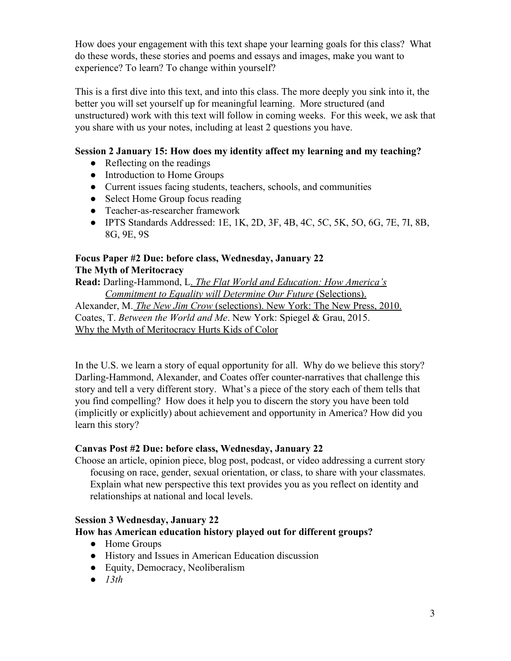How does your engagement with this text shape your learning goals for this class? What do these words, these stories and poems and essays and images, make you want to experience? To learn? To change within yourself?

This is a first dive into this text, and into this class. The more deeply you sink into it, the better you will set yourself up for meaningful learning. More structured (and unstructured) work with this text will follow in coming weeks. For this week, we ask that you share with us your notes, including at least 2 questions you have.

# **Session 2 January 15: How does my identity affect my learning and my teaching?**

- Reflecting on the readings
- Introduction to Home Groups
- Current issues facing students, teachers, schools, and communities
- Select Home Group focus reading
- Teacher-as-researcher framework
- IPTS Standards Addressed: 1E, 1K, 2D, 3F, 4B, 4C, 5C, 5K, 5O, 6G, 7E, 7I, 8B, 8G, 9E, 9S

# **Focus Paper #2 Due: before class, Wednesday, January 22 The Myth of Meritocracy**

**Read:** Darling-Hammond, [L.](https://www.luminpdf.com/viewer/5d6ad7d8e43e620019d03517) *[The Flat World and Education: How America's](https://www.luminpdf.com/viewer/5d6ad7d8e43e620019d03517) [Commitment to Equality will Determine Our Future](https://www.luminpdf.com/viewer/5d6ad7d8e43e620019d03517)* [\(Selections\).](https://www.luminpdf.com/viewer/5d6ad7d8e43e620019d03517) [Alexander, M.](https://www.luminpdf.com/viewer/5d6ad736e43e620019d034f1) *[The New Jim Crow](https://www.luminpdf.com/viewer/5d6ad736e43e620019d034f1)* [\(selections\). New York: The New Press, 2010.](https://www.luminpdf.com/viewer/5d6ad736e43e620019d034f1)

Coates, T. *Between the World and Me*. New York: Spiegel & Grau, 2015. [Why the Myth of Meritocracy Hurts Kids of Color](https://www.theatlantic.com/education/archive/2017/07/internalizing-the-myth-of-meritocracy/535035/?utm_source=atlfb)

In the U.S. we learn a story of equal opportunity for all. Why do we believe this story? Darling-Hammond, Alexander, and Coates offer counter-narratives that challenge this story and tell a very different story. What's a piece of the story each of them tells that you find compelling? How does it help you to discern the story you have been told (implicitly or explicitly) about achievement and opportunity in America? How did you learn this story?

## **Canvas Post #2 Due: before class, Wednesday, January 22**

Choose an article, opinion piece, blog post, podcast, or video addressing a current story focusing on race, gender, sexual orientation, or class, to share with your classmates. Explain what new perspective this text provides you as you reflect on identity and relationships at national and local levels.

## **Session 3 Wednesday, January 22**

## **How has American education history played out for different groups?**

- Home Groups
- History and Issues in American Education discussion
- Equity, Democracy, Neoliberalism
- *● 13th*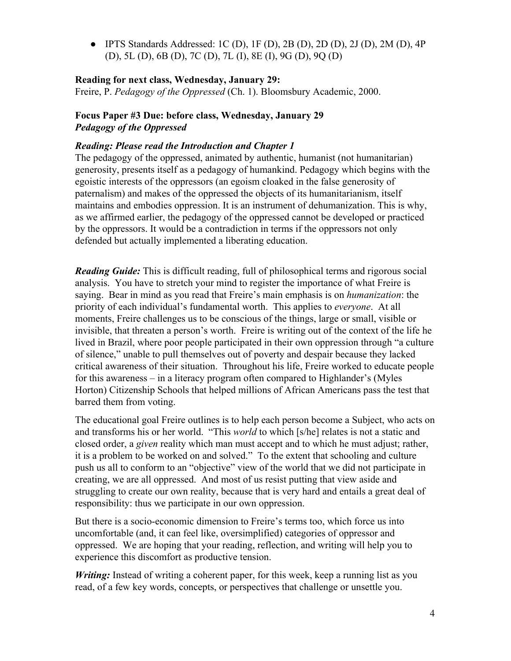$\bullet$  IPTS Standards Addressed: 1C (D), 1F (D), 2B (D), 2D (D), 2J (D), 2M (D), 4P (D), 5L (D), 6B (D), 7C (D), 7L (I), 8E (I), 9G (D), 9Q (D)

### **Reading for next class, Wednesday, January 29:**

Freire, P. *Pedagogy of the Oppressed* (Ch. 1). Bloomsbury Academic, 2000.

### **Focus Paper #3 Due: before class, Wednesday, January 29** *Pedagogy of the Oppressed*

#### *Reading: Please read the Introduction and Chapter 1*

The pedagogy of the oppressed, animated by authentic, humanist (not humanitarian) generosity, presents itself as a pedagogy of humankind. Pedagogy which begins with the egoistic interests of the oppressors (an egoism cloaked in the false generosity of paternalism) and makes of the oppressed the objects of its humanitarianism, itself maintains and embodies oppression. It is an instrument of dehumanization. This is why, as we affirmed earlier, the pedagogy of the oppressed cannot be developed or practiced by the oppressors. It would be a contradiction in terms if the oppressors not only defended but actually implemented a liberating education.

*Reading Guide:* This is difficult reading, full of philosophical terms and rigorous social analysis. You have to stretch your mind to register the importance of what Freire is saying. Bear in mind as you read that Freire's main emphasis is on *humanization*: the priority of each individual's fundamental worth. This applies to *everyone*. At all moments, Freire challenges us to be conscious of the things, large or small, visible or invisible, that threaten a person's worth. Freire is writing out of the context of the life he lived in Brazil, where poor people participated in their own oppression through "a culture of silence," unable to pull themselves out of poverty and despair because they lacked critical awareness of their situation. Throughout his life, Freire worked to educate people for this awareness – in a literacy program often compared to Highlander's (Myles Horton) Citizenship Schools that helped millions of African Americans pass the test that barred them from voting.

The educational goal Freire outlines is to help each person become a Subject, who acts on and transforms his or her world. "This *world* to which [s/he] relates is not a static and closed order, a *given* reality which man must accept and to which he must adjust; rather, it is a problem to be worked on and solved." To the extent that schooling and culture push us all to conform to an "objective" view of the world that we did not participate in creating, we are all oppressed. And most of us resist putting that view aside and struggling to create our own reality, because that is very hard and entails a great deal of responsibility: thus we participate in our own oppression.

But there is a socio-economic dimension to Freire's terms too, which force us into uncomfortable (and, it can feel like, oversimplified) categories of oppressor and oppressed. We are hoping that your reading, reflection, and writing will help you to experience this discomfort as productive tension.

*Writing:* Instead of writing a coherent paper, for this week, keep a running list as you read, of a few key words, concepts, or perspectives that challenge or unsettle you.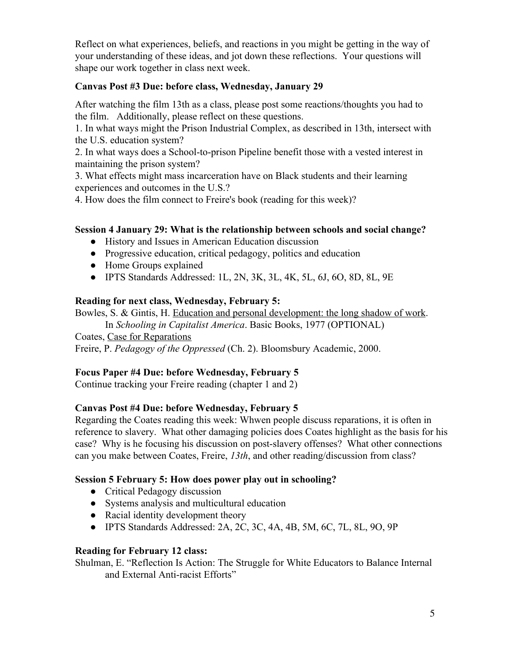Reflect on what experiences, beliefs, and reactions in you might be getting in the way of your understanding of these ideas, and jot down these reflections. Your questions will shape our work together in class next week.

# **Canvas Post #3 Due: before class, Wednesday, January 29**

After watching the film 13th as a class, please post some reactions/thoughts you had to the film. Additionally, please reflect on these questions.

1. In what ways might the Prison Industrial Complex, as described in 13th, intersect with the U.S. education system?

2. In what ways does a School-to-prison Pipeline benefit those with a vested interest in maintaining the prison system?

3. What effects might mass incarceration have on Black students and their learning experiences and outcomes in the U.S.?

4. How does the film connect to Freire's book (reading for this week)?

# **Session 4 January 29: What is the relationship between schools and social change?**

- History and Issues in American Education discussion
- Progressive education, critical pedagogy, politics and education
- Home Groups explained
- IPTS Standards Addressed: 1L, 2N, 3K, 3L, 4K, 5L, 6J, 6O, 8D, 8L, 9E

# **Reading for next class, Wednesday, February 5:**

Bowles, S. & Gintis, H. [Education and personal development: the long shadow of work](https://www.luminpdf.com/viewer/5d7fc0ab3b586200135f9f7e).

In *Schooling in Capitalist America*. Basic Books, 1977 (OPTIONAL)

Coates, [Case for Reparations](https://www.theatlantic.com/magazine/archive/2014/06/the-case-for-reparations/361631/)

Freire, P. *Pedagogy of the Oppressed* (Ch. 2). Bloomsbury Academic, 2000.

# **Focus Paper #4 Due: before Wednesday, February 5**

Continue tracking your Freire reading (chapter 1 and 2)

# **Canvas Post #4 Due: before Wednesday, February 5**

Regarding the Coates reading this week: Whwen people discuss reparations, it is often in reference to slavery. What other damaging policies does Coates highlight as the basis for his case? Why is he focusing his discussion on post-slavery offenses? What other connections can you make between Coates, Freire, *13th*, and other reading/discussion from class?

# **Session 5 February 5: How does power play out in schooling?**

- Critical Pedagogy discussion
- Systems analysis and multicultural education
- Racial identity development theory
- IPTS Standards Addressed: 2A, 2C, 3C, 4A, 4B, 5M, 6C, 7L, 8L, 9O, 9P

## **Reading for February 12 class:**

Shulman, E. "Reflection Is Action: The Struggle for White Educators to Balance Internal and External Anti-racist Efforts"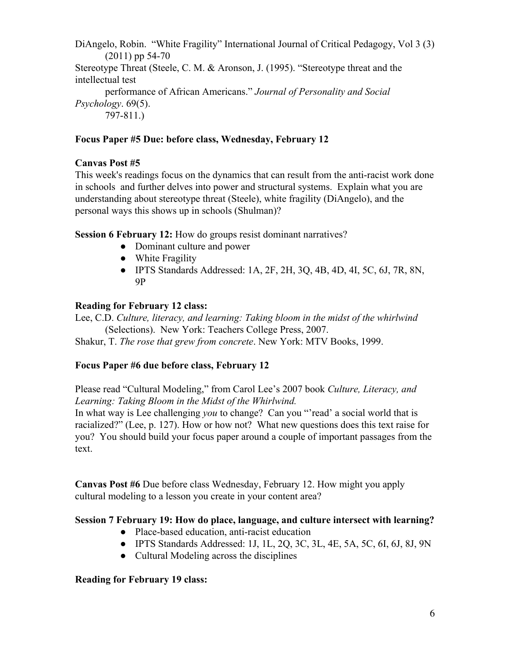DiAngelo, Robin. "White Fragility" International Journal of Critical Pedagogy, Vol 3 (3) (2011) pp 54-70 Stereotype Threat (Steele, C. M. & Aronson, J. (1995). "Stereotype threat and the intellectual test performance of African Americans." *Journal of Personality and Social Psychology*. 69(5). 797-811.)

### **Focus Paper #5 Due: before class, Wednesday, February 12**

#### **Canvas Post #5**

This week's readings focus on the dynamics that can result from the anti-racist work done in schools and further delves into power and structural systems. Explain what you are understanding about stereotype threat (Steele), white fragility (DiAngelo), and the personal ways this shows up in schools (Shulman)?

**Session 6 February 12:** How do groups resist dominant narratives?

- Dominant culture and power
- White Fragility
- IPTS Standards Addressed: 1A, 2F, 2H, 3Q, 4B, 4D, 4I, 5C, 6J, 7R, 8N, 9P

#### **Reading for February 12 class:**

Lee, C.D. *Culture, literacy, and learning: Taking bloom in the midst of the whirlwind* (Selections). New York: Teachers College Press, 2007.

Shakur, T. *The rose that grew from concrete*. New York: MTV Books, 1999.

#### **Focus Paper #6 due before class, February 12**

Please read "Cultural Modeling," from Carol Lee's 2007 book *Culture, Literacy, and Learning: Taking Bloom in the Midst of the Whirlwind.*

In what way is Lee challenging *you* to change? Can you "read' a social world that is racialized?" (Lee, p. 127). How or how not? What new questions does this text raise for you? You should build your focus paper around a couple of important passages from the text.

**Canvas Post #6** Due before class Wednesday, February 12. How might you apply cultural modeling to a lesson you create in your content area?

#### **Session 7 February 19: How do place, language, and culture intersect with learning?**

- Place-based education, anti-racist education
- **●** IPTS Standards Addressed: 1J, 1L, 2Q, 3C, 3L, 4E, 5A, 5C, 6I, 6J, 8J, 9N
- Cultural Modeling across the disciplines

#### **Reading for February 19 class:**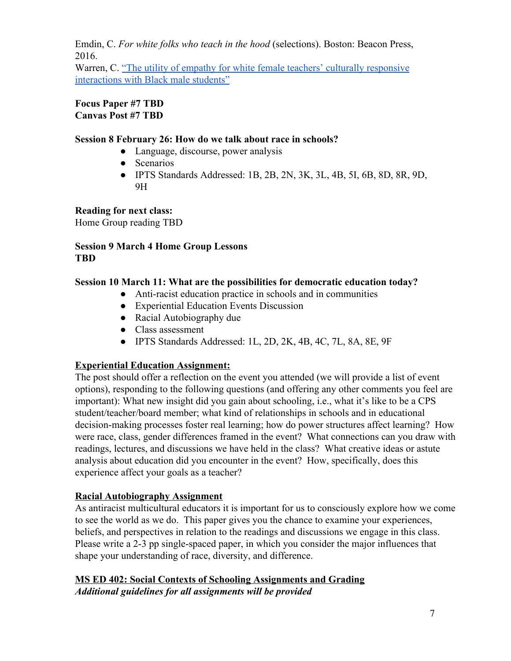Emdin, C. *For white folks who teach in the hood* (selections). Boston: Beacon Press, 2016.

Warren, C. ["The utility of empathy for white female teachers' culturally responsive](https://files.eric.ed.gov/fulltext/EJ1063074.pdf) [interactions with Black male students"](https://files.eric.ed.gov/fulltext/EJ1063074.pdf)

**Focus Paper #7 TBD Canvas Post #7 TBD**

## **Session 8 February 26: How do we talk about race in schools?**

- Language, discourse, power analysis
- Scenarios
- IPTS Standards Addressed: 1B, 2B, 2N, 3K, 3L, 4B, 5I, 6B, 8D, 8R, 9D, 9H

**Reading for next class:**

Home Group reading TBD

### **Session 9 March 4 Home Group Lessons TBD**

# **Session 10 March 11: What are the possibilities for democratic education today?**

- Anti-racist education practice in schools and in communities
- Experiential Education Events Discussion
- Racial Autobiography due
- Class assessment
- IPTS Standards Addressed: 1L, 2D, 2K, 4B, 4C, 7L, 8A, 8E, 9F

# **Experiential Education Assignment:**

The post should offer a reflection on the event you attended (we will provide a list of event options), responding to the following questions (and offering any other comments you feel are important): What new insight did you gain about schooling, i.e., what it's like to be a CPS student/teacher/board member; what kind of relationships in schools and in educational decision-making processes foster real learning; how do power structures affect learning? How were race, class, gender differences framed in the event? What connections can you draw with readings, lectures, and discussions we have held in the class? What creative ideas or astute analysis about education did you encounter in the event? How, specifically, does this experience affect your goals as a teacher?

## **Racial Autobiography Assignment**

As antiracist multicultural educators it is important for us to consciously explore how we come to see the world as we do. This paper gives you the chance to examine your experiences, beliefs, and perspectives in relation to the readings and discussions we engage in this class. Please write a 2-3 pp single-spaced paper, in which you consider the major influences that shape your understanding of race, diversity, and difference.

# **MS ED 402: Social Contexts of Schooling Assignments and Grading** *Additional guidelines for all assignments will be provided*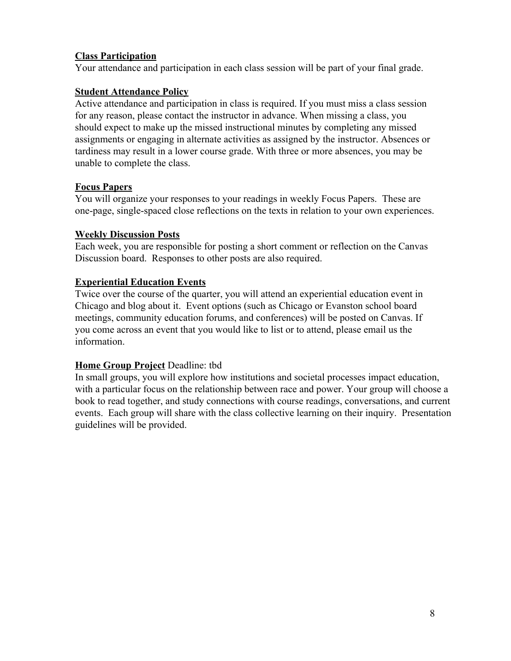## **Class Participation**

Your attendance and participation in each class session will be part of your final grade.

# **Student Attendance Policy**

Active attendance and participation in class is required. If you must miss a class session for any reason, please contact the instructor in advance. When missing a class, you should expect to make up the missed instructional minutes by completing any missed assignments or engaging in alternate activities as assigned by the instructor. Absences or tardiness may result in a lower course grade. With three or more absences, you may be unable to complete the class.

## **Focus Papers**

You will organize your responses to your readings in weekly Focus Papers. These are one-page, single-spaced close reflections on the texts in relation to your own experiences.

## **Weekly Discussion Posts**

Each week, you are responsible for posting a short comment or reflection on the Canvas Discussion board. Responses to other posts are also required.

# **Experiential Education Events**

Twice over the course of the quarter, you will attend an experiential education event in Chicago and blog about it. Event options (such as Chicago or Evanston school board meetings, community education forums, and conferences) will be posted on Canvas. If you come across an event that you would like to list or to attend, please email us the information.

## **Home Group Project** Deadline: tbd

In small groups, you will explore how institutions and societal processes impact education, with a particular focus on the relationship between race and power. Your group will choose a book to read together, and study connections with course readings, conversations, and current events. Each group will share with the class collective learning on their inquiry. Presentation guidelines will be provided.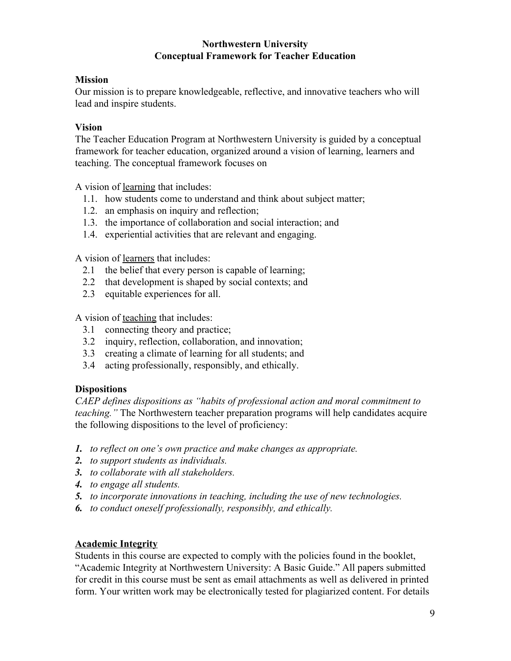### **Northwestern University Conceptual Framework for Teacher Education**

# **Mission**

Our mission is to prepare knowledgeable, reflective, and innovative teachers who will lead and inspire students.

# **Vision**

The Teacher Education Program at Northwestern University is guided by a conceptual framework for teacher education, organized around a vision of learning, learners and teaching. The conceptual framework focuses on

A vision of learning that includes:

- 1.1. how students come to understand and think about subject matter;
- 1.2. an emphasis on inquiry and reflection;
- 1.3. the importance of collaboration and social interaction; and
- 1.4. experiential activities that are relevant and engaging.

A vision of learners that includes:

- 2.1 the belief that every person is capable of learning;
- 2.2 that development is shaped by social contexts; and
- 2.3 equitable experiences for all.

A vision of teaching that includes:

- 3.1 connecting theory and practice;
- 3.2 inquiry, reflection, collaboration, and innovation;
- 3.3 creating a climate of learning for all students; and
- 3.4 acting professionally, responsibly, and ethically.

# **Dispositions**

*CAEP defines dispositions as "habits of professional action and moral commitment to teaching."* The Northwestern teacher preparation programs will help candidates acquire the following dispositions to the level of proficiency:

- *1. to reflect on one's own practice and make changes as appropriate.*
- *2. to support students as individuals.*
- *3. to collaborate with all stakeholders.*
- *4. to engage all students.*
- *5. to incorporate innovations in teaching, including the use of new technologies.*
- *6. to conduct oneself professionally, responsibly, and ethically.*

# **Academic Integrity**

Students in this course are expected to comply with the policies found in the booklet, "Academic Integrity at Northwestern University: A Basic Guide." All papers submitted for credit in this course must be sent as email attachments as well as delivered in printed form. Your written work may be electronically tested for plagiarized content. For details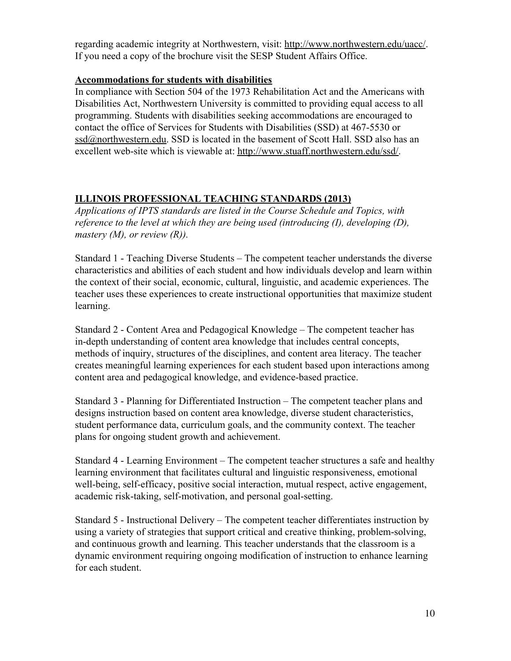regarding academic integrity at Northwestern, visit: <http://www.northwestern.edu/uacc/>. If you need a copy of the brochure visit the SESP Student Affairs Office.

# **Accommodations for students with disabilities**

In compliance with Section 504 of the 1973 Rehabilitation Act and the Americans with Disabilities Act, Northwestern University is committed to providing equal access to all programming. Students with disabilities seeking accommodations are encouraged to contact the office of Services for Students with Disabilities (SSD) at 467-5530 or [ssd@northwestern.edu.](mailto:ssd@northwestern.edu) SSD is located in the basement of Scott Hall. SSD also has an excellent web-site which is viewable at: [http://www.stuaff.northwestern.edu/ssd/.](http://www.stuaff.northwestern.edu/ssd/)

# **ILLINOIS PROFESSIONAL TEACHING STANDARDS (2013)**

*Applications of IPTS standards are listed in the Course Schedule and Topics, with reference to the level at which they are being used (introducing (I), developing (D), mastery (M), or review (R)).*

Standard 1 - Teaching Diverse Students – The competent teacher understands the diverse characteristics and abilities of each student and how individuals develop and learn within the context of their social, economic, cultural, linguistic, and academic experiences. The teacher uses these experiences to create instructional opportunities that maximize student learning.

Standard 2 - Content Area and Pedagogical Knowledge – The competent teacher has in-depth understanding of content area knowledge that includes central concepts, methods of inquiry, structures of the disciplines, and content area literacy. The teacher creates meaningful learning experiences for each student based upon interactions among content area and pedagogical knowledge, and evidence-based practice.

Standard 3 - Planning for Differentiated Instruction – The competent teacher plans and designs instruction based on content area knowledge, diverse student characteristics, student performance data, curriculum goals, and the community context. The teacher plans for ongoing student growth and achievement.

Standard 4 - Learning Environment – The competent teacher structures a safe and healthy learning environment that facilitates cultural and linguistic responsiveness, emotional well-being, self-efficacy, positive social interaction, mutual respect, active engagement, academic risk-taking, self-motivation, and personal goal-setting.

Standard 5 - Instructional Delivery – The competent teacher differentiates instruction by using a variety of strategies that support critical and creative thinking, problem-solving, and continuous growth and learning. This teacher understands that the classroom is a dynamic environment requiring ongoing modification of instruction to enhance learning for each student.